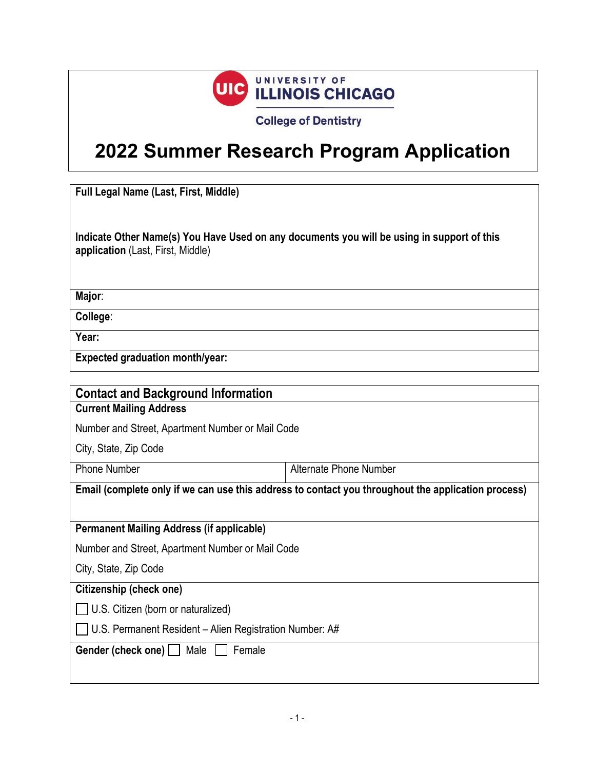

**College of Dentistry** 

## **2022 Summer Research Program Application**

**Full Legal Name (Last, First, Middle)**

**Indicate Other Name(s) You Have Used on any documents you will be using in support of this application** (Last, First, Middle)

**Major**:

**College**:

**Year:**

**Expected graduation month/year:**

| <b>Contact and Background Information</b>                                                          |                        |  |  |
|----------------------------------------------------------------------------------------------------|------------------------|--|--|
| <b>Current Mailing Address</b>                                                                     |                        |  |  |
| Number and Street, Apartment Number or Mail Code                                                   |                        |  |  |
| City, State, Zip Code                                                                              |                        |  |  |
| <b>Phone Number</b>                                                                                | Alternate Phone Number |  |  |
| Email (complete only if we can use this address to contact you throughout the application process) |                        |  |  |
|                                                                                                    |                        |  |  |
| <b>Permanent Mailing Address (if applicable)</b>                                                   |                        |  |  |
| Number and Street, Apartment Number or Mail Code                                                   |                        |  |  |
| City, State, Zip Code                                                                              |                        |  |  |
| Citizenship (check one)                                                                            |                        |  |  |
| U.S. Citizen (born or naturalized)                                                                 |                        |  |  |
| U.S. Permanent Resident – Alien Registration Number: A#                                            |                        |  |  |
| Gender (check one)  <br>Female<br>Male                                                             |                        |  |  |
|                                                                                                    |                        |  |  |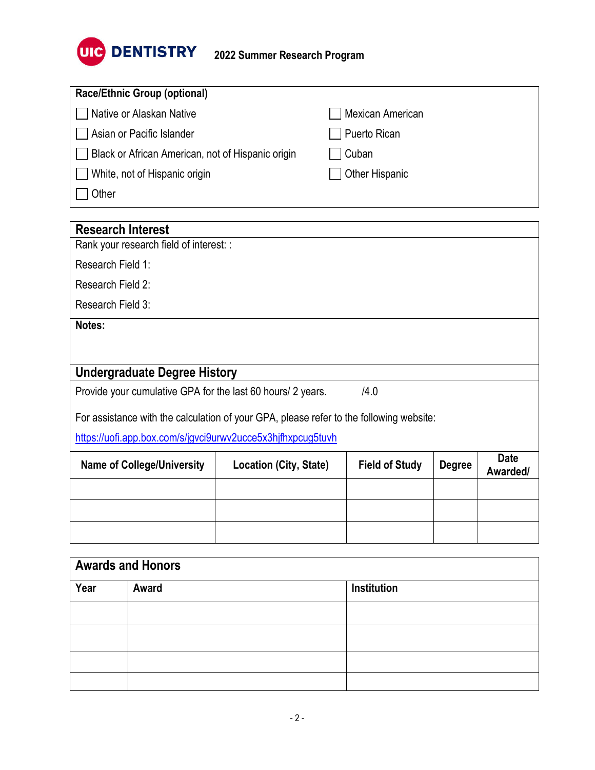

| <b>Race/Ethnic Group (optional)</b>               |                  |
|---------------------------------------------------|------------------|
| Native or Alaskan Native                          | Mexican American |
| □ Asian or Pacific Islander                       | Puerto Rican     |
| Black or African American, not of Hispanic origin | Cuban            |
| White, not of Hispanic origin                     | Other Hispanic   |
| Other                                             |                  |

| <b>Research Interest</b>                                                                |                        |                       |               |                         |  |
|-----------------------------------------------------------------------------------------|------------------------|-----------------------|---------------|-------------------------|--|
| Rank your research field of interest: :                                                 |                        |                       |               |                         |  |
| Research Field 1:                                                                       |                        |                       |               |                         |  |
| Research Field 2:                                                                       |                        |                       |               |                         |  |
| Research Field 3:                                                                       |                        |                       |               |                         |  |
| Notes:                                                                                  |                        |                       |               |                         |  |
|                                                                                         |                        |                       |               |                         |  |
|                                                                                         |                        |                       |               |                         |  |
| <b>Undergraduate Degree History</b>                                                     |                        |                       |               |                         |  |
| /4.0<br>Provide your cumulative GPA for the last 60 hours/ 2 years.                     |                        |                       |               |                         |  |
| For assistance with the calculation of your GPA, please refer to the following website: |                        |                       |               |                         |  |
| https://uofi.app.box.com/s/jgvci9urwv2ucce5x3hjfhxpcug5tuvh                             |                        |                       |               |                         |  |
| <b>Name of College/University</b>                                                       | Location (City, State) | <b>Field of Study</b> | <b>Degree</b> | <b>Date</b><br>Awarded/ |  |
|                                                                                         |                        |                       |               |                         |  |
|                                                                                         |                        |                       |               |                         |  |

| <b>Awards and Honors</b> |       |             |  |
|--------------------------|-------|-------------|--|
| Year                     | Award | Institution |  |
|                          |       |             |  |
|                          |       |             |  |
|                          |       |             |  |
|                          |       |             |  |